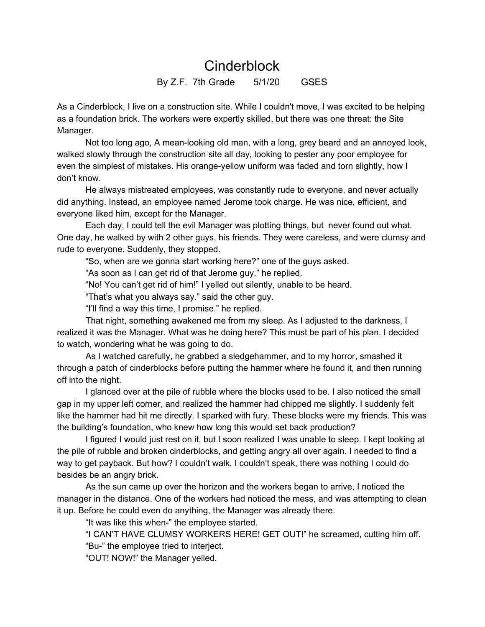## **Cinderblock**

By Z.F. 7th Grade 5/1/20 GSES

As a Cinderblock, I live on a construction site. While I couldn't move, I was excited to be helping as a foundation brick. The workers were expertly skilled, but there was one threat: the Site Manager.

Not too long ago, A mean-looking old man, with a long, grey beard and an annoyed look, walked slowly through the construction site all day, looking to pester any poor employee for even the simplest of mistakes. His orange-yellow uniform was faded and torn slightly, how I don't know.

He always mistreated employees, was constantly rude to everyone, and never actually did anything. Instead, an employee named Jerome took charge. He was nice, efficient, and everyone liked him, except for the Manager.

Each day, I could tell the evil Manager was plotting things, but never found out what. One day, he walked by with 2 other guys, his friends. They were careless, and were clumsy and rude to everyone. Suddenly, they stopped.

"So, when are we gonna start working here?" one of the guys asked.

"As soon as I can get rid of that Jerome guy." he replied.

"No! You can't get rid of him!" I yelled out silently, unable to be heard.

"That's what you always say." said the other guy.

"I'll find a way this time, I promise." he replied.

That night, something awakened me from my sleep. As I adjusted to the darkness, I realized it was the Manager. What was he doing here? This must be part of his plan. I decided to watch, wondering what he was going to do.

As I watched carefully, he grabbed a sledgehammer, and to my horror, smashed it through a patch of cinderblocks before putting the hammer where he found it, and then running off into the night.

I glanced over at the pile of rubble where the blocks used to be. I also noticed the small gap in my upper left corner, and realized the hammer had chipped me slightly. I suddenly felt like the hammer had hit me directly. I sparked with fury. These blocks were my friends. This was the building's foundation, who knew how long this would set back production?

I figured I would just rest on it, but I soon realized I was unable to sleep. I kept looking at the pile of rubble and broken cinderblocks, and getting angry all over again. I needed to find a way to get payback. But how? I couldn't walk, I couldn't speak, there was nothing I could do besides be an angry brick.

As the sun came up over the horizon and the workers began to arrive, I noticed the manager in the distance. One of the workers had noticed the mess, and was attempting to clean it up. Before he could even do anything, the Manager was already there.

"It was like this when-" the employee started.

"I CAN'T HAVE CLUMSY WORKERS HERE! GET OUT!" he screamed, cutting him off.

"Bu-" the employee tried to interject.

"OUT! NOW!" the Manager yelled.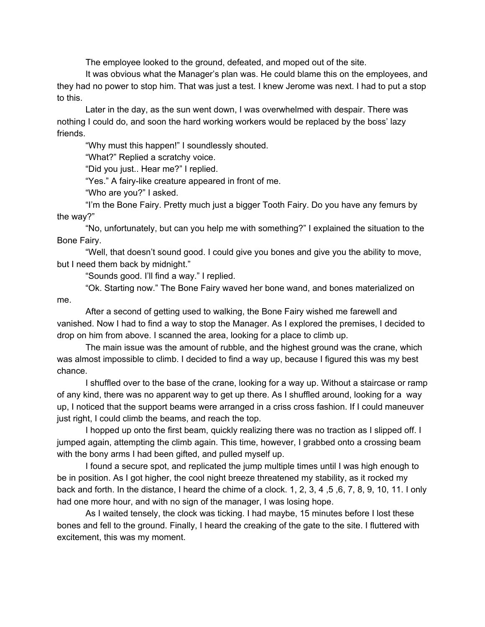The employee looked to the ground, defeated, and moped out of the site.

It was obvious what the Manager's plan was. He could blame this on the employees, and they had no power to stop him. That was just a test. I knew Jerome was next. I had to put a stop to this.

Later in the day, as the sun went down, I was overwhelmed with despair. There was nothing I could do, and soon the hard working workers would be replaced by the boss' lazy friends.

"Why must this happen!" I soundlessly shouted.

"What?" Replied a scratchy voice.

"Did you just.. Hear me?" I replied.

"Yes." A fairy-like creature appeared in front of me.

"Who are you?" I asked.

"I'm the Bone Fairy. Pretty much just a bigger Tooth Fairy. Do you have any femurs by the way?"

"No, unfortunately, but can you help me with something?" I explained the situation to the Bone Fairy.

"Well, that doesn't sound good. I could give you bones and give you the ability to move, but I need them back by midnight."

"Sounds good. I'll find a way." I replied.

"Ok. Starting now." The Bone Fairy waved her bone wand, and bones materialized on me.

After a second of getting used to walking, the Bone Fairy wished me farewell and vanished. Now I had to find a way to stop the Manager. As I explored the premises, I decided to drop on him from above. I scanned the area, looking for a place to climb up.

The main issue was the amount of rubble, and the highest ground was the crane, which was almost impossible to climb. I decided to find a way up, because I figured this was my best chance.

I shuffled over to the base of the crane, looking for a way up. Without a staircase or ramp of any kind, there was no apparent way to get up there. As I shuffled around, looking for a way up, I noticed that the support beams were arranged in a criss cross fashion. If I could maneuver just right, I could climb the beams, and reach the top.

I hopped up onto the first beam, quickly realizing there was no traction as I slipped off. I jumped again, attempting the climb again. This time, however, I grabbed onto a crossing beam with the bony arms I had been gifted, and pulled myself up.

I found a secure spot, and replicated the jump multiple times until I was high enough to be in position. As I got higher, the cool night breeze threatened my stability, as it rocked my back and forth. In the distance, I heard the chime of a clock. 1, 2, 3, 4 ,5 ,6, 7, 8, 9, 10, 11. I only had one more hour, and with no sign of the manager, I was losing hope.

As I waited tensely, the clock was ticking. I had maybe, 15 minutes before I lost these bones and fell to the ground. Finally, I heard the creaking of the gate to the site. I fluttered with excitement, this was my moment.